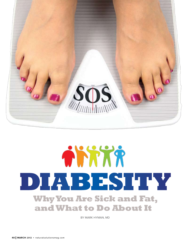

# OSTATE **DIALSESTITY**

## **Why You Are Sick and Fat, and What to Do About It**

BY Mark Hyman, MD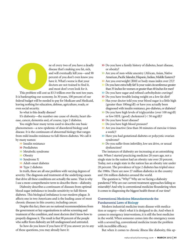

**Example 18 The School of School of School system of every two of you have a deadly disease that's making you fat, sick, and will eventually kill you—and 90 percent of you don't even know you have it. What's worse is that** disease that's making you fat, sick, and will eventually kill you—and 90 percent of you don't even know you have it. What's worse is that your doctors are not trained to find it, and most don't even look for it.

This problem will cost us \$3.5 trillion over the next ten years. It is bankrupting our economy. In 30 years, 100 percent of our federal budget will be needed to pay for Medicare and Medicaid, leaving nothing for education, defense, agriculture, roads, or even social security.

So what is this deadly disease?

It's diabesity—the number one cause of obesity, heart disease, cancer, dementia and, of course, type 2 diabetes.

You might hear many terms used to describe one basic phenomenon—a new epidemic of disordered biology and disease. It is the continuum of abnormal biology that ranges from mild insulin resistance to full-blown diabetes. We call it by many names:

- **>>** Insulin resistance
- **>>** Prediabetes
- **>>** Metabolic syndrome
- **>>** Obesity
- **>>** Syndrome X
- **>>** Adult-onset diabetes
- **>>** Type 2 diabetes

In truth, these are all one problem with varying degrees of severity. The diagnosis and treatment of the underlying causes that drive all these conditions are actually the same. That is why I use a more comprehensive term to describe them—diabesity.

Diabesity describes a continuum of diseases from optimal blood sugar imbalance to insulin sensitivity to full-blown diabetes. This biological imbalance is our modern plague. It affects one in two Americans and is the leading cause of most chronic diseases in this country, including cancer.

Despite this fact, there are no national recommendations from the government or key organizations to advise screening and treatment of the condition, and most doctors don't know how to properly diagnose it. The result is that 90 percent of the people who suffer from diabesity are left undiagnosed and untreated.

So how do you know if you have it? If you answer yes to any of these questions, you may already have it:

- **>>** Do you have a family history of diabetes, heart disease, or obesity?
- **>>** Are you of non-white ancestry (African, Asian, Native American, Pacific Islander, Hispanic, Indian, Middle Eastern)?
- **>>** Are you overweight (BMI or body mass index over 25)?
- **>>** Do you have extra belly fat? Is your waist circumference greater than 35 inches for women or greater than 40 inches for men?
- **>>** Do you have sugar and refined carbohydrate cravings?
- **>>** Do you have trouble losing weight on a low fat diet?
- **>>** Has your doctor told you your blood sugar is a little high (greater than 100mg/dl) or have you actually been diagnosed with insulin resistance, pre-diabetes, or diabetes?
- **>>** Do you have high levels of triglycerides (over 100 mg/dl) or low HDL (good) cholesterol (< 50 mg/dl)?
- **>>** Do you have heart disease?
- **>>** Do you have high blood pressure?
- **>>** Are you inactive (less than 30 minutes of exercise 4 times a week)?
- **>>** Have you had gestational diabetes or polycystic ovarian syndrome?
- **>>** Do you suffer from infertility, low sex drive, or sexual dysfunction?

The instances of diabesity are increasing at an astonishing rate. When I started practicing medicine 20 years ago, not a single state in the nation had an obesity rate over 20 percent. Today, not a single state in the nation has an obesity rate under 20 percent. The prevalence of type 2 diabetes has tripled since the 1980s. There are now 27 million diabetics in the country and 336 million diabetics around the world.

The question is, "Why?" Why are we facing a diabesity pandemic? Why are our current treatment approaches failing so miserably? And why is conventional medicine floundering when it comes to diagnosing the biggest health threat of our time?

#### Conventional Medicine Misunderstands the Fundamental Laws of Biology

Modern industrial medicine treats disease with medication or surgery—that's what it is designed to do. And when it comes to emergency interventions, it is still the best medicine in the world. When someone comes into the emergency room with a severed leg, conventional medicine treats the problem with incredible efficacy.

But when it comes to chronic illness like diabesity, this ap-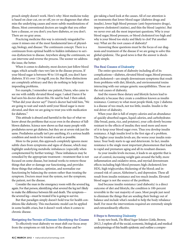proach simply doesn't work. Here's why: Most medicine today is based on clear-cut, on-or-off, yes-or-no diagnoses that often miss the underlying causes and more subtle manifestations of illness. Most conventional doctors are taught that you either have a disease, or you don't; you have diabetes, or you don't. There are no gray areas.

Practicing medicine this way is extremely misguided because it misses one of the most fundamental laws of physiology, biology, and disease: The continuum concept. There is a continuum from optimal health to hidden imbalance to serious dysfunction to disease. Anywhere along the continuum, we can intervene and reverse the process. The sooner we address the issue, the better.

When it comes to diabesity, most doctors just follow blood sugar, which actually rises very late in the disease process. If your blood sugar is between 90 to 110 mg/dl, you don't have diabetes. If it's over 126 mg/dl, you do. But these distinctions are completely arbitrary and they do nothing to help treat impending problems.

For example, I remember one patient, Daren, who came to see me with mildly elevated blood sugar. I asked Daren if he had seen his doctor about this. He said he had. I then asked, "What did your doctor say?" Daren's doctor had told him, "We are going to wait and watch until your blood sugar is more elevated, and then we are going to treat you with medication for diabetes."

This attitude is absurd and harmful in the face of what we know about the problems that occur even in the absence of fullblown diabetes. Science now shows us that many people with prediabetes never get diabetes, but they are at severe risk just the same. Prediabetes actually isn't pre-anything, it's a serious health condition and needs to be treated as early as possible.

More to the point, this approach completely ignores more subtle clues from symptoms and signs of disease, which may highlight underlying metabolic imbalances (especially when complemented by further testing). These imbalances may be remedied by the appropriate treatment—treatment that is not focused on some disease, but instead works to remove those things that alter or damage our functioning, and provides those things that enhance, optimize, and normalize our functioning by balancing the system rather than treating the symptom. Doctors must treat the system, not the symptom; the patient, not the disease.

Consider the man in the emergency room with the severed leg, again. For that person, identifying what severed the leg isn't likely to make the difference between life and death. The symptom the severed leg—must be treated if he is going to survive.

But that paradigm simply doesn't hold true for health conditions like diabesity. This mechanistic model can be applied in some health crises, but it doesn't work when it comes to chronic disease.

#### Navigating the Terrain of Disease: Identifying the Causes

To effectively treat diabesity we must shift our focus away from the symptoms or risk factors of the disease and begin taking a hard look at the causes. All of our attention is on treatments that lower blood sugar (diabetes drugs and insulin), lower high blood pressure (anti-hypertensive drugs), improve cholesterol (statins), and thin the blood (aspirin). But we never ever ask the most important questions. Why is your blood sugar, blood pressure, or blood cholesterol too high and why is your blood too sticky and likely to clot? Put another way: What are the root causes of diabesity?

Answering these questions must be the focus of our diagnosis and treatment of the disease if we are going to solve this global epidemic. The good news is that the answer is shockingly simple.

#### The Real Causes of Diabesity

The entire spectrum of diabesity including all of its complications—diabetes, elevated blood sugar, blood pressure, and cholesterol—are simply downstream symptoms that result from problems with diet, lifestyle, and environmental toxins interacting with our unique genetic susceptibilities. Those are the real causes of diabesity.

And the reason these dietary and lifestyle factors lead to diabesity is because they create a condition known as insulin resistance. Contrary to what most people think, type 2 diabetes is a disease of too much, not too little, insulin. Insulin is the real driver of diabesity.

When your diet is full of empty calories and an abundance of quickly absorbed sugars, liquid calories, and carbohydrates (like bread, pasta, rice, and potatoes), your cells slowly become resistant to the effects of insulin; they need more and more of it to keep your blood sugar even. Thus you develop insulin resistance. A high insulin level is the first sign of a problem. The higher your insulin levels are, the worse your insulin resistance. Your body starts to age and deteriorate. In fact, insulin resistance is the single most important phenomenon that leads to rapid and premature aging and all its resultant diseases.

As your insulin levels increase, it leads to an appetite that is out of control, increasing weight gain around the belly, more inflammation and oxidative stress, and myriad downstream effects including high blood pressure; high cholesterol; low HDL; high triglycerides; thickening of the blood; and increased risk of cancer, Alzheimer's, and depression. These all result from insulin resistance and too much insulin. Elevated blood sugar is not the source of the problem.

And because insulin resistance (and diabesity) is a direct outcome of diet and lifestyle, the condition is 100-percent reversible in the vast majority of cases. Most people just need to eliminate the things that are sending their biology out of balance and include what's needed to help the body rebalance itself. For most the interventions required are extremely simple and extraordinarily effective.

#### 8 Steps to Reversing Diabesity

In my new book, *The Blood Sugar Solution* (Little, Brown; 2012), I explore all of the social, economic, biological, and medical underpinnings of this health epidemic and outline a compre-